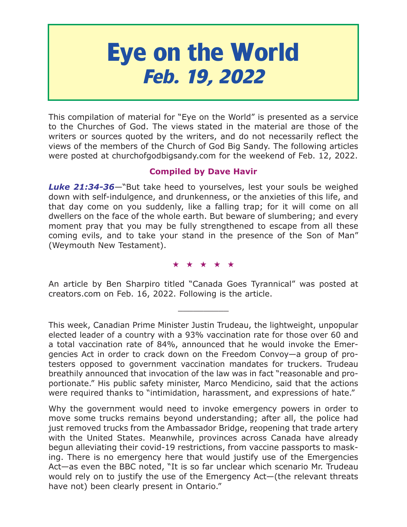# **Eye on the World Feb. 19, 2022**

This compilation of material for "Eye on the World" is presented as a service to the Churches of God. The views stated in the material are those of the writers or sources quoted by the writers, and do not necessarily reflect the views of the members of the Church of God Big Sandy. The following articles were posted at churchofgodbigsandy.com for the weekend of Feb. 12, 2022.

## **Compiled by Dave Havir**

*Luke 21:34-36*—"But take heed to yourselves, lest your souls be weighed down with self-indulgence, and drunkenness, or the anxieties of this life, and that day come on you suddenly, like a falling trap; for it will come on all dwellers on the face of the whole earth. But beware of slumbering; and every moment pray that you may be fully strengthened to escape from all these coming evils, and to take your stand in the presence of the Son of Man" (Weymouth New Testament).

★★★★★

An article by Ben Sharpiro titled "Canada Goes Tyrannical" was posted at creators.com on Feb. 16, 2022. Following is the article.

 $\overline{\phantom{a}}$  , where  $\overline{\phantom{a}}$ 

This week, Canadian Prime Minister Justin Trudeau, the lightweight, unpopular elected leader of a country with a 93% vaccination rate for those over 60 and a total vaccination rate of 84%, announced that he would invoke the Emergencies Act in order to crack down on the Freedom Convoy—a group of protesters opposed to government vaccination mandates for truckers. Trudeau breathily announced that invocation of the law was in fact "reasonable and proportionate." His public safety minister, Marco Mendicino, said that the actions were required thanks to "intimidation, harassment, and expressions of hate."

Why the government would need to invoke emergency powers in order to move some trucks remains beyond understanding; after all, the police had just removed trucks from the Ambassador Bridge, reopening that trade artery with the United States. Meanwhile, provinces across Canada have already begun alleviating their covid-19 restrictions, from vaccine passports to masking. There is no emergency here that would justify use of the Emergencies Act—as even the BBC noted, "It is so far unclear which scenario Mr. Trudeau would rely on to justify the use of the Emergency Act—(the relevant threats have not) been clearly present in Ontario."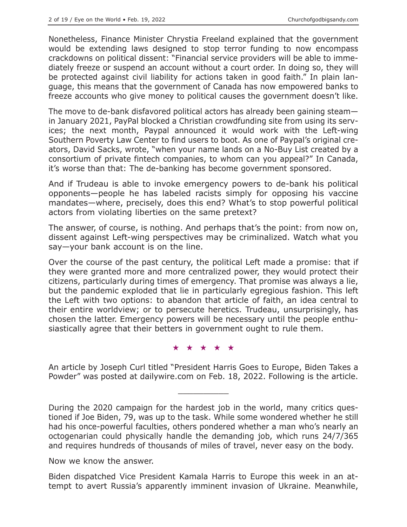Nonetheless, Finance Minister Chrystia Freeland explained that the government would be extending laws designed to stop terror funding to now encompass crackdowns on political dissent: "Financial service providers will be able to immediately freeze or suspend an account without a court order. In doing so, they will be protected against civil liability for actions taken in good faith." In plain language, this means that the government of Canada has now empowered banks to freeze accounts who give money to political causes the government doesn't like.

The move to de-bank disfavored political actors has already been gaining steam in January 2021, PayPal blocked a Christian crowdfunding site from using its services; the next month, Paypal announced it would work with the Left-wing Southern Poverty Law Center to find users to boot. As one of Paypal's original creators, David Sacks, wrote, "when your name lands on a No-Buy List created by a consortium of private fintech companies, to whom can you appeal?" In Canada, it's worse than that: The de-banking has become government sponsored.

And if Trudeau is able to invoke emergency powers to de-bank his political opponents—people he has labeled racists simply for opposing his vaccine mandates—where, precisely, does this end? What's to stop powerful political actors from violating liberties on the same pretext?

The answer, of course, is nothing. And perhaps that's the point: from now on, dissent against Left-wing perspectives may be criminalized. Watch what you say—your bank account is on the line.

Over the course of the past century, the political Left made a promise: that if they were granted more and more centralized power, they would protect their citizens, particularly during times of emergency. That promise was always a lie, but the pandemic exploded that lie in particularly egregious fashion. This left the Left with two options: to abandon that article of faith, an idea central to their entire worldview; or to persecute heretics. Trudeau, unsurprisingly, has chosen the latter. Emergency powers will be necessary until the people enthusiastically agree that their betters in government ought to rule them.

#### ★★★★★

An article by Joseph Curl titled "President Harris Goes to Europe, Biden Takes a Powder" was posted at dailywire.com on Feb. 18, 2022. Following is the article.

 $\overline{\phantom{a}}$  , where  $\overline{\phantom{a}}$ 

Now we know the answer.

Biden dispatched Vice President Kamala Harris to Europe this week in an attempt to avert Russia's apparently imminent invasion of Ukraine. Meanwhile,

During the 2020 campaign for the hardest job in the world, many critics questioned if Joe Biden, 79, was up to the task. While some wondered whether he still had his once-powerful faculties, others pondered whether a man who's nearly an octogenarian could physically handle the demanding job, which runs 24/7/365 and requires hundreds of thousands of miles of travel, never easy on the body.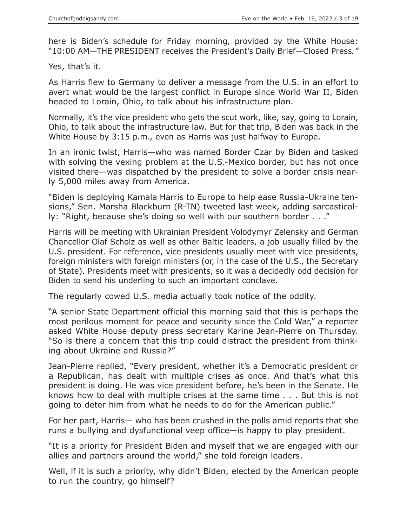here is Biden's schedule for Friday morning, provided by the White House: "10:00 AM—THE PRESIDENT receives the President's Daily Brief—Closed Press*."*

Yes, that's it.

As Harris flew to Germany to deliver a message from the U.S. in an effort to avert what would be the largest conflict in Europe since World War II, Biden headed to Lorain, Ohio, to talk about his infrastructure plan.

Normally, it's the vice president who gets the scut work, like, say, going to Lorain, Ohio, to talk about the infrastructure law. But for that trip, Biden was back in the White House by 3:15 p.m., even as Harris was just halfway to Europe.

In an ironic twist, Harris—who was named Border Czar by Biden and tasked with solving the vexing problem at the U.S.-Mexico border, but has not once visited there—was dispatched by the president to solve a border crisis nearly 5,000 miles away from America.

"Biden is deploying Kamala Harris to Europe to help ease Russia-Ukraine tensions," Sen. Marsha Blackburn (R-TN) tweeted last week, adding sarcastically: "Right, because she's doing so well with our southern border . . ."

Harris will be meeting with Ukrainian President Volodymyr Zelensky and German Chancellor Olaf Scholz as well as other Baltic leaders, a job usually filled by the U.S. president. For reference, vice presidents usually meet with vice presidents, foreign ministers with foreign ministers (or, in the case of the U.S., the Secretary of State). Presidents meet with presidents, so it was a decidedly odd decision for Biden to send his underling to such an important conclave.

The regularly cowed U.S. media actually took notice of the oddity.

"A senior State Department official this morning said that this is perhaps the most perilous moment for peace and security since the Cold War," a reporter asked White House deputy press secretary Karine Jean-Pierre on Thursday. "So is there a concern that this trip could distract the president from thinking about Ukraine and Russia?"

Jean-Pierre replied, "Every president, whether it's a Democratic president or a Republican, has dealt with multiple crises as once. And that's what this president is doing. He was vice president before, he's been in the Senate. He knows how to deal with multiple crises at the same time . . . But this is not going to deter him from what he needs to do for the American public."

For her part, Harris— who has been crushed in the polls amid reports that she runs a bullying and dysfunctional veep office—is happy to play president.

"It is a priority for President Biden and myself that we are engaged with our allies and partners around the world," she told foreign leaders.

Well, if it is such a priority, why didn't Biden, elected by the American people to run the country, go himself?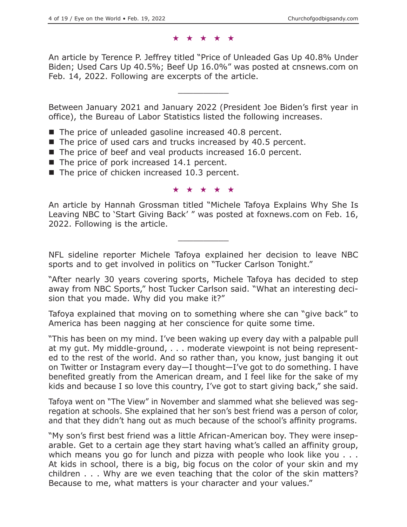#### ★★★★★

An article by Terence P. Jeffrey titled "Price of Unleaded Gas Up 40.8% Under Biden; Used Cars Up 40.5%; Beef Up 16.0%" was posted at cnsnews.com on Feb. 14, 2022. Following are excerpts of the article.

Between January 2021 and January 2022 (President Joe Biden's first year in office), the Bureau of Labor Statistics listed the following increases.

 $\overline{\phantom{a}}$  , where  $\overline{\phantom{a}}$ 

- The price of unleaded gasoline increased 40.8 percent.
- The price of used cars and trucks increased by 40.5 percent.
- The price of beef and veal products increased 16.0 percent.
- $\blacksquare$  The price of pork increased 14.1 percent.
- $\blacksquare$  The price of chicken increased 10.3 percent.

#### ★★★★★

An article by Hannah Grossman titled "Michele Tafoya Explains Why She Is Leaving NBC to 'Start Giving Back' " was posted at foxnews.com on Feb. 16, 2022. Following is the article.

NFL sideline reporter Michele Tafoya explained her decision to leave NBC sports and to get involved in politics on "Tucker Carlson Tonight."

 $\overline{\phantom{a}}$  , where  $\overline{\phantom{a}}$ 

"After nearly 30 years covering sports, Michele Tafoya has decided to step away from NBC Sports," host Tucker Carlson said. "What an interesting decision that you made. Why did you make it?"

Tafoya explained that moving on to something where she can "give back" to America has been nagging at her conscience for quite some time.

"This has been on my mind. I've been waking up every day with a palpable pull at my gut. My middle-ground, . . . moderate viewpoint is not being represented to the rest of the world. And so rather than, you know, just banging it out on Twitter or Instagram every day—I thought—I've got to do something. I have benefited greatly from the American dream, and I feel like for the sake of my kids and because I so love this country, I've got to start giving back," she said.

Tafoya went on "The View" in November and slammed what she believed was segregation at schools. She explained that her son's best friend was a person of color, and that they didn't hang out as much because of the school's affinity programs.

"My son's first best friend was a little African-American boy. They were inseparable. Get to a certain age they start having what's called an affinity group, which means you go for lunch and pizza with people who look like you . . . At kids in school, there is a big, big focus on the color of your skin and my children . . . Why are we even teaching that the color of the skin matters? Because to me, what matters is your character and your values."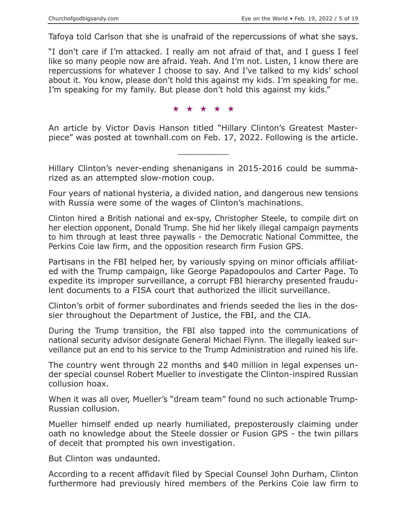Tafoya told Carlson that she is unafraid of the repercussions of what she says.

"I don't care if I'm attacked. I really am not afraid of that, and I guess I feel like so many people now are afraid. Yeah. And I'm not. Listen, I know there are repercussions for whatever I choose to say. And I've talked to my kids' school about it. You know, please don't hold this against my kids. I'm speaking for me. I'm speaking for my family. But please don't hold this against my kids."

★★★★★

An article by Victor Davis Hanson titled "Hillary Clinton's Greatest Masterpiece" was posted at townhall.com on Feb. 17, 2022. Following is the article.

\_\_\_\_\_\_\_\_\_\_

Hillary Clinton's never-ending shenanigans in 2015-2016 could be summarized as an attempted slow-motion coup.

Four years of national hysteria, a divided nation, and dangerous new tensions with Russia were some of the wages of Clinton's machinations.

Clinton hired a British national and ex-spy, Christopher Steele, to compile dirt on her election opponent, Donald Trump. She hid her likely illegal campaign payments to him through at least three paywalls - the Democratic National Committee, the Perkins Coie law firm, and the opposition research firm Fusion GPS.

Partisans in the FBI helped her, by variously spying on minor officials affiliated with the Trump campaign, like George Papadopoulos and Carter Page. To expedite its improper surveillance, a corrupt FBI hierarchy presented fraudulent documents to a FISA court that authorized the illicit surveillance.

Clinton's orbit of former subordinates and friends seeded the lies in the dossier throughout the Department of Justice, the FBI, and the CIA.

During the Trump transition, the FBI also tapped into the communications of national security advisor designate General Michael Flynn. The illegally leaked surveillance put an end to his service to the Trump Administration and ruined his life.

The country went through 22 months and \$40 million in legal expenses under special counsel Robert Mueller to investigate the Clinton-inspired Russian collusion hoax.

When it was all over, Mueller's "dream team" found no such actionable Trump-Russian collusion.

Mueller himself ended up nearly humiliated, preposterously claiming under oath no knowledge about the Steele dossier or Fusion GPS - the twin pillars of deceit that prompted his own investigation.

But Clinton was undaunted.

According to a recent affidavit filed by Special Counsel John Durham, Clinton furthermore had previously hired members of the Perkins Coie law firm to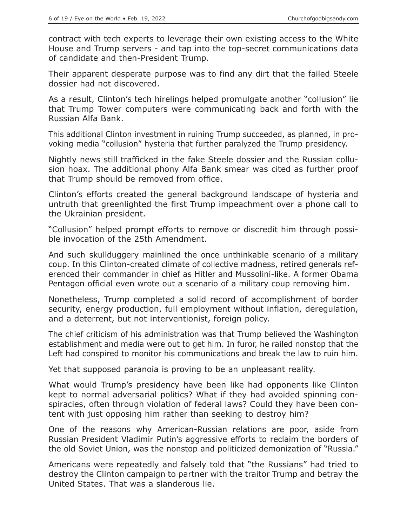contract with tech experts to leverage their own existing access to the White House and Trump servers - and tap into the top-secret communications data of candidate and then-President Trump.

Their apparent desperate purpose was to find any dirt that the failed Steele dossier had not discovered.

As a result, Clinton's tech hirelings helped promulgate another "collusion" lie that Trump Tower computers were communicating back and forth with the Russian Alfa Bank.

This additional Clinton investment in ruining Trump succeeded, as planned, in provoking media "collusion" hysteria that further paralyzed the Trump presidency.

Nightly news still trafficked in the fake Steele dossier and the Russian collusion hoax. The additional phony Alfa Bank smear was cited as further proof that Trump should be removed from office.

Clinton's efforts created the general background landscape of hysteria and untruth that greenlighted the first Trump impeachment over a phone call to the Ukrainian president.

"Collusion" helped prompt efforts to remove or discredit him through possible invocation of the 25th Amendment.

And such skullduggery mainlined the once unthinkable scenario of a military coup. In this Clinton-created climate of collective madness, retired generals referenced their commander in chief as Hitler and Mussolini-like. A former Obama Pentagon official even wrote out a scenario of a military coup removing him.

Nonetheless, Trump completed a solid record of accomplishment of border security, energy production, full employment without inflation, deregulation, and a deterrent, but not interventionist, foreign policy.

The chief criticism of his administration was that Trump believed the Washington establishment and media were out to get him. In furor, he railed nonstop that the Left had conspired to monitor his communications and break the law to ruin him.

Yet that supposed paranoia is proving to be an unpleasant reality.

What would Trump's presidency have been like had opponents like Clinton kept to normal adversarial politics? What if they had avoided spinning conspiracies, often through violation of federal laws? Could they have been content with just opposing him rather than seeking to destroy him?

One of the reasons why American-Russian relations are poor, aside from Russian President Vladimir Putin's aggressive efforts to reclaim the borders of the old Soviet Union, was the nonstop and politicized demonization of "Russia."

Americans were repeatedly and falsely told that "the Russians" had tried to destroy the Clinton campaign to partner with the traitor Trump and betray the United States. That was a slanderous lie.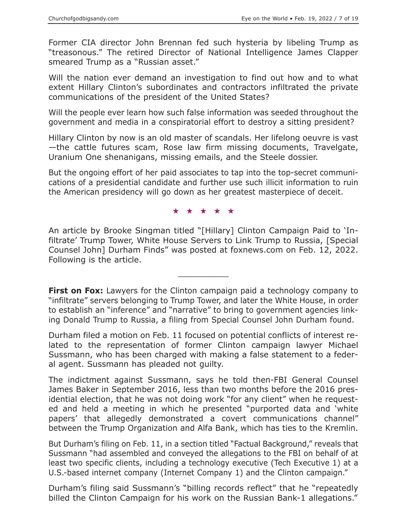Former CIA director John Brennan fed such hysteria by libeling Trump as "treasonous." The retired Director of National Intelligence James Clapper smeared Trump as a "Russian asset."

Will the nation ever demand an investigation to find out how and to what extent Hillary Clinton's subordinates and contractors infiltrated the private communications of the president of the United States?

Will the people ever learn how such false information was seeded throughout the government and media in a conspiratorial effort to destroy a sitting president?

Hillary Clinton by now is an old master of scandals. Her lifelong oeuvre is vast —the cattle futures scam, Rose law firm missing documents, Travelgate, Uranium One shenanigans, missing emails, and the Steele dossier.

But the ongoing effort of her paid associates to tap into the top-secret communications of a presidential candidate and further use such illicit information to ruin the American presidency will go down as her greatest masterpiece of deceit.

#### ★★★★★

An article by Brooke Singman titled "[Hillary] Clinton Campaign Paid to 'Infiltrate' Trump Tower, White House Servers to Link Trump to Russia, [Special Counsel John] Durham Finds" was posted at foxnews.com on Feb. 12, 2022. Following is the article.

 $\overline{\phantom{a}}$  , where  $\overline{\phantom{a}}$ 

**First on Fox:** Lawyers for the Clinton campaign paid a technology company to "infiltrate" servers belonging to Trump Tower, and later the White House, in order to establish an "inference" and "narrative" to bring to government agencies linking Donald Trump to Russia, a filing from Special Counsel John Durham found.

Durham filed a motion on Feb. 11 focused on potential conflicts of interest related to the representation of former Clinton campaign lawyer Michael Sussmann, who has been charged with making a false statement to a federal agent. Sussmann has pleaded not guilty.

The indictment against Sussmann, says he told then-FBI General Counsel James Baker in September 2016, less than two months before the 2016 presidential election, that he was not doing work "for any client" when he requested and held a meeting in which he presented "purported data and 'white papers' that allegedly demonstrated a covert communications channel" between the Trump Organization and Alfa Bank, which has ties to the Kremlin.

But Durham's filing on Feb. 11, in a section titled "Factual Background," reveals that Sussmann "had assembled and conveyed the allegations to the FBI on behalf of at least two specific clients, including a technology executive (Tech Executive 1) at a U.S.-based internet company (Internet Company 1) and the Clinton campaign."

Durham's filing said Sussmann's "billing records reflect" that he "repeatedly billed the Clinton Campaign for his work on the Russian Bank-1 allegations."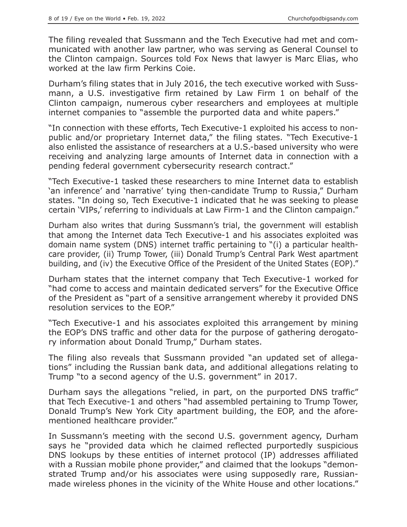The filing revealed that Sussmann and the Tech Executive had met and communicated with another law partner, who was serving as General Counsel to the Clinton campaign. Sources told Fox News that lawyer is Marc Elias, who worked at the law firm Perkins Coie.

Durham's filing states that in July 2016, the tech executive worked with Sussmann, a U.S. investigative firm retained by Law Firm 1 on behalf of the Clinton campaign, numerous cyber researchers and employees at multiple internet companies to "assemble the purported data and white papers."

"In connection with these efforts, Tech Executive-1 exploited his access to nonpublic and/or proprietary Internet data," the filing states. "Tech Executive-1 also enlisted the assistance of researchers at a U.S.-based university who were receiving and analyzing large amounts of Internet data in connection with a pending federal government cybersecurity research contract."

"Tech Executive-1 tasked these researchers to mine Internet data to establish 'an inference' and 'narrative' tying then-candidate Trump to Russia," Durham states. "In doing so, Tech Executive-1 indicated that he was seeking to please certain 'VIPs,' referring to individuals at Law Firm-1 and the Clinton campaign."

Durham also writes that during Sussmann's trial, the government will establish that among the Internet data Tech Executive-1 and his associates exploited was domain name system (DNS) internet traffic pertaining to "(i) a particular healthcare provider, (ii) Trump Tower, (iii) Donald Trump's Central Park West apartment building, and (iv) the Executive Office of the President of the United States (EOP)."

Durham states that the internet company that Tech Executive-1 worked for "had come to access and maintain dedicated servers" for the Executive Office of the President as "part of a sensitive arrangement whereby it provided DNS resolution services to the EOP."

"Tech Executive-1 and his associates exploited this arrangement by mining the EOP's DNS traffic and other data for the purpose of gathering derogatory information about Donald Trump," Durham states.

The filing also reveals that Sussmann provided "an updated set of allegations" including the Russian bank data, and additional allegations relating to Trump "to a second agency of the U.S. government" in 2017.

Durham says the allegations "relied, in part, on the purported DNS traffic" that Tech Executive-1 and others "had assembled pertaining to Trump Tower, Donald Trump's New York City apartment building, the EOP, and the aforementioned healthcare provider."

In Sussmann's meeting with the second U.S. government agency, Durham says he "provided data which he claimed reflected purportedly suspicious DNS lookups by these entities of internet protocol (IP) addresses affiliated with a Russian mobile phone provider," and claimed that the lookups "demonstrated Trump and/or his associates were using supposedly rare, Russianmade wireless phones in the vicinity of the White House and other locations."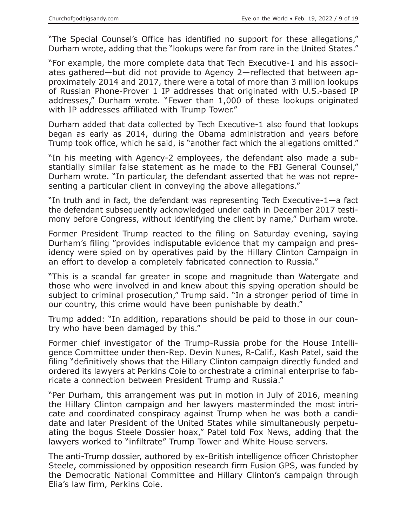"The Special Counsel's Office has identified no support for these allegations," Durham wrote, adding that the "lookups were far from rare in the United States."

"For example, the more complete data that Tech Executive-1 and his associates gathered—but did not provide to Agency 2—reflected that between approximately 2014 and 2017, there were a total of more than 3 million lookups of Russian Phone-Prover 1 IP addresses that originated with U.S.-based IP addresses," Durham wrote. "Fewer than 1,000 of these lookups originated with IP addresses affiliated with Trump Tower."

Durham added that data collected by Tech Executive-1 also found that lookups began as early as 2014, during the Obama administration and years before Trump took office, which he said, is "another fact which the allegations omitted."

"In his meeting with Agency-2 employees, the defendant also made a substantially similar false statement as he made to the FBI General Counsel," Durham wrote. "In particular, the defendant asserted that he was not representing a particular client in conveying the above allegations."

"In truth and in fact, the defendant was representing Tech Executive-1—a fact the defendant subsequently acknowledged under oath in December 2017 testimony before Congress, without identifying the client by name," Durham wrote.

Former President Trump reacted to the filing on Saturday evening, saying Durham's filing "provides indisputable evidence that my campaign and presidency were spied on by operatives paid by the Hillary Clinton Campaign in an effort to develop a completely fabricated connection to Russia."

"This is a scandal far greater in scope and magnitude than Watergate and those who were involved in and knew about this spying operation should be subject to criminal prosecution," Trump said. "In a stronger period of time in our country, this crime would have been punishable by death."

Trump added: "In addition, reparations should be paid to those in our country who have been damaged by this."

Former chief investigator of the Trump-Russia probe for the House Intelligence Committee under then-Rep. Devin Nunes, R-Calif., Kash Patel, said the filing "definitively shows that the Hillary Clinton campaign directly funded and ordered its lawyers at Perkins Coie to orchestrate a criminal enterprise to fabricate a connection between President Trump and Russia."

"Per Durham, this arrangement was put in motion in July of 2016, meaning the Hillary Clinton campaign and her lawyers masterminded the most intricate and coordinated conspiracy against Trump when he was both a candidate and later President of the United States while simultaneously perpetuating the bogus Steele Dossier hoax," Patel told Fox News, adding that the lawyers worked to "infiltrate" Trump Tower and White House servers.

The anti-Trump dossier, authored by ex-British intelligence officer Christopher Steele, commissioned by opposition research firm Fusion GPS, was funded by the Democratic National Committee and Hillary Clinton's campaign through Elia's law firm, Perkins Coie.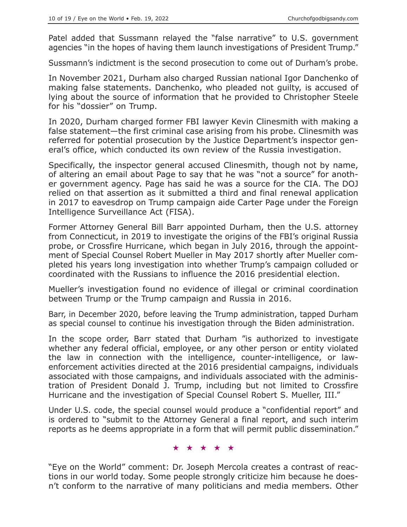Patel added that Sussmann relayed the "false narrative" to U.S. government agencies "in the hopes of having them launch investigations of President Trump."

Sussmann's indictment is the second prosecution to come out of Durham's probe.

In November 2021, Durham also charged Russian national Igor Danchenko of making false statements. Danchenko, who pleaded not guilty, is accused of lying about the source of information that he provided to Christopher Steele for his "dossier" on Trump.

In 2020, Durham charged former FBI lawyer Kevin Clinesmith with making a false statement—the first criminal case arising from his probe. Clinesmith was referred for potential prosecution by the Justice Department's inspector general's office, which conducted its own review of the Russia investigation.

Specifically, the inspector general accused Clinesmith, though not by name, of altering an email about Page to say that he was "not a source" for another government agency. Page has said he was a source for the CIA. The DOJ relied on that assertion as it submitted a third and final renewal application in 2017 to eavesdrop on Trump campaign aide Carter Page under the Foreign Intelligence Surveillance Act (FISA).

Former Attorney General Bill Barr appointed Durham, then the U.S. attorney from Connecticut, in 2019 to investigate the origins of the FBI's original Russia probe, or Crossfire Hurricane, which began in July 2016, through the appointment of Special Counsel Robert Mueller in May 2017 shortly after Mueller completed his years long investigation into whether Trump's campaign colluded or coordinated with the Russians to influence the 2016 presidential election.

Mueller's investigation found no evidence of illegal or criminal coordination between Trump or the Trump campaign and Russia in 2016.

Barr, in December 2020, before leaving the Trump administration, tapped Durham as special counsel to continue his investigation through the Biden administration.

In the scope order, Barr stated that Durham "is authorized to investigate whether any federal official, employee, or any other person or entity violated the law in connection with the intelligence, counter-intelligence, or lawenforcement activities directed at the 2016 presidential campaigns, individuals associated with those campaigns, and individuals associated with the administration of President Donald J. Trump, including but not limited to Crossfire Hurricane and the investigation of Special Counsel Robert S. Mueller, III."

Under U.S. code, the special counsel would produce a "confidential report" and is ordered to "submit to the Attorney General a final report, and such interim reports as he deems appropriate in a form that will permit public dissemination."

#### ★★★★★

"Eye on the World" comment: Dr. Joseph Mercola creates a contrast of reactions in our world today. Some people strongly criticize him because he doesn't conform to the narrative of many politicians and media members. Other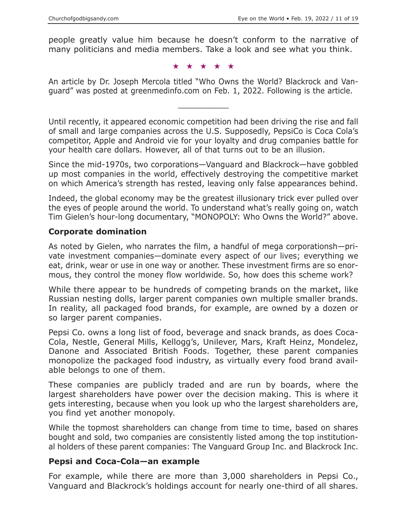people greatly value him because he doesn't conform to the narrative of many politicians and media members. Take a look and see what you think.

★★★★★

An article by Dr. Joseph Mercola titled "Who Owns the World? Blackrock and Vanguard" was posted at greenmedinfo.com on Feb. 1, 2022. Following is the article.

 $\overline{\phantom{a}}$  , where  $\overline{\phantom{a}}$ 

Until recently, it appeared economic competition had been driving the rise and fall of small and large companies across the U.S. Supposedly, PepsiCo is Coca Cola's competitor, Apple and Android vie for your loyalty and drug companies battle for your health care dollars. However, all of that turns out to be an illusion.

Since the mid-1970s, two corporations—Vanguard and Blackrock—have gobbled up most companies in the world, effectively destroying the competitive market on which America's strength has rested, leaving only false appearances behind.

Indeed, the global economy may be the greatest illusionary trick ever pulled over the eyes of people around the world. To understand what's really going on, watch Tim Gielen's hour-long documentary, "MONOPOLY: Who Owns the World?" above.

### **Corporate domination**

As noted by Gielen, who narrates the film, a handful of mega corporationsh—private investment companies—dominate every aspect of our lives; everything we eat, drink, wear or use in one way or another. These investment firms are so enormous, they control the money flow worldwide. So, how does this scheme work?

While there appear to be hundreds of competing brands on the market, like Russian nesting dolls, larger parent companies own multiple smaller brands. In reality, all packaged food brands, for example, are owned by a dozen or so larger parent companies.

Pepsi Co. owns a long list of food, beverage and snack brands, as does Coca-Cola, Nestle, General Mills, Kellogg's, Unilever, Mars, Kraft Heinz, Mondelez, Danone and Associated British Foods. Together, these parent companies monopolize the packaged food industry, as virtually every food brand available belongs to one of them.

These companies are publicly traded and are run by boards, where the largest shareholders have power over the decision making. This is where it gets interesting, because when you look up who the largest shareholders are, you find yet another monopoly.

While the topmost shareholders can change from time to time, based on shares bought and sold, two companies are consistently listed among the top institutional holders of these parent companies: The Vanguard Group Inc. and Blackrock Inc.

## **Pepsi and Coca-Cola—an example**

For example, while there are more than 3,000 shareholders in Pepsi Co., Vanguard and Blackrock's holdings account for nearly one-third of all shares.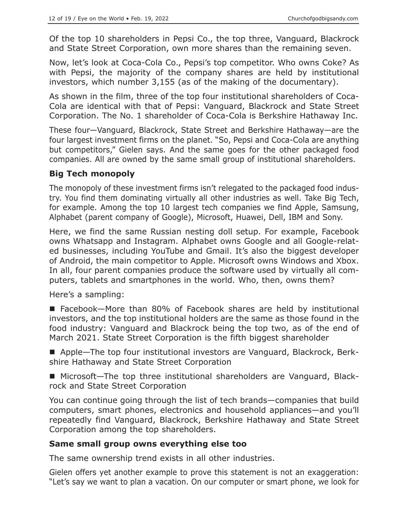Of the top 10 shareholders in Pepsi Co., the top three, Vanguard, Blackrock and State Street Corporation, own more shares than the remaining seven.

Now, let's look at Coca-Cola Co., Pepsi's top competitor. Who owns Coke? As with Pepsi, the majority of the company shares are held by institutional investors, which number 3,155 (as of the making of the documentary).

As shown in the film, three of the top four institutional shareholders of Coca-Cola are identical with that of Pepsi: Vanguard, Blackrock and State Street Corporation. The No. 1 shareholder of Coca-Cola is Berkshire Hathaway Inc.

These four—Vanguard, Blackrock, State Street and Berkshire Hathaway—are the four largest investment firms on the planet. "So, Pepsi and Coca-Cola are anything but competitors," Gielen says. And the same goes for the other packaged food companies. All are owned by the same small group of institutional shareholders.

## **Big Tech monopoly**

The monopoly of these investment firms isn't relegated to the packaged food industry. You find them dominating virtually all other industries as well. Take Big Tech, for example. Among the top 10 largest tech companies we find Apple, Samsung, Alphabet (parent company of Google), Microsoft, Huawei, Dell, IBM and Sony.

Here, we find the same Russian nesting doll setup. For example, Facebook owns Whatsapp and Instagram. Alphabet owns Google and all Google-related businesses, including YouTube and Gmail. It's also the biggest developer of Android, the main competitor to Apple. Microsoft owns Windows and Xbox. In all, four parent companies produce the software used by virtually all computers, tablets and smartphones in the world. Who, then, owns them?

Here's a sampling:

■ Facebook–More than 80% of Facebook shares are held by institutional investors, and the top institutional holders are the same as those found in the food industry: Vanguard and Blackrock being the top two, as of the end of March 2021. State Street Corporation is the fifth biggest shareholder

■ Apple—The top four institutional investors are Vanguard, Blackrock, Berkshire Hathaway and State Street Corporation

■ Microsoft—The top three institutional shareholders are Vanguard, Blackrock and State Street Corporation

You can continue going through the list of tech brands—companies that build computers, smart phones, electronics and household appliances—and you'll repeatedly find Vanguard, Blackrock, Berkshire Hathaway and State Street Corporation among the top shareholders.

#### **Same small group owns everything else too**

The same ownership trend exists in all other industries.

Gielen offers yet another example to prove this statement is not an exaggeration: "Let's say we want to plan a vacation. On our computer or smart phone, we look for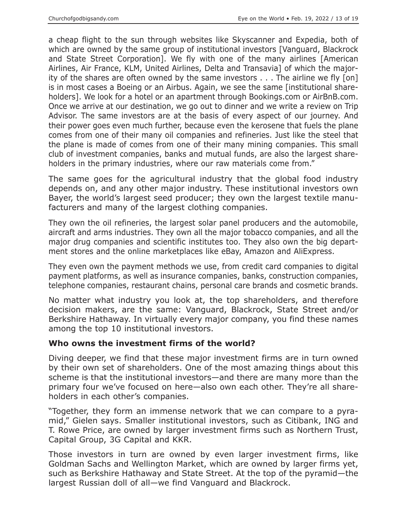a cheap flight to the sun through websites like Skyscanner and Expedia, both of which are owned by the same group of institutional investors [Vanguard, Blackrock and State Street Corporation]. We fly with one of the many airlines [American Airlines, Air France, KLM, United Airlines, Delta and Transavia] of which the majority of the shares are often owned by the same investors . . . The airline we fly [on] is in most cases a Boeing or an Airbus. Again, we see the same [institutional shareholders]. We look for a hotel or an apartment through Bookings.com or AirBnB.com. Once we arrive at our destination, we go out to dinner and we write a review on Trip Advisor. The same investors are at the basis of every aspect of our journey. And their power goes even much further, because even the kerosene that fuels the plane comes from one of their many oil companies and refineries. Just like the steel that the plane is made of comes from one of their many mining companies. This small club of investment companies, banks and mutual funds, are also the largest shareholders in the primary industries, where our raw materials come from."

The same goes for the agricultural industry that the global food industry depends on, and any other major industry. These institutional investors own Bayer, the world's largest seed producer; they own the largest textile manufacturers and many of the largest clothing companies.

They own the oil refineries, the largest solar panel producers and the automobile, aircraft and arms industries. They own all the major tobacco companies, and all the major drug companies and scientific institutes too. They also own the big department stores and the online marketplaces like eBay, Amazon and AliExpress.

They even own the payment methods we use, from credit card companies to digital payment platforms, as well as insurance companies, banks, construction companies, telephone companies, restaurant chains, personal care brands and cosmetic brands.

No matter what industry you look at, the top shareholders, and therefore decision makers, are the same: Vanguard, Blackrock, State Street and/or Berkshire Hathaway. In virtually every major company, you find these names among the top 10 institutional investors.

## **Who owns the investment firms of the world?**

Diving deeper, we find that these major investment firms are in turn owned by their own set of shareholders. One of the most amazing things about this scheme is that the institutional investors—and there are many more than the primary four we've focused on here—also own each other. They're all shareholders in each other's companies.

"Together, they form an immense network that we can compare to a pyramid," Gielen says. Smaller institutional investors, such as Citibank, ING and T. Rowe Price, are owned by larger investment firms such as Northern Trust, Capital Group, 3G Capital and KKR.

Those investors in turn are owned by even larger investment firms, like Goldman Sachs and Wellington Market, which are owned by larger firms yet, such as Berkshire Hathaway and State Street. At the top of the pyramid—the largest Russian doll of all—we find Vanguard and Blackrock.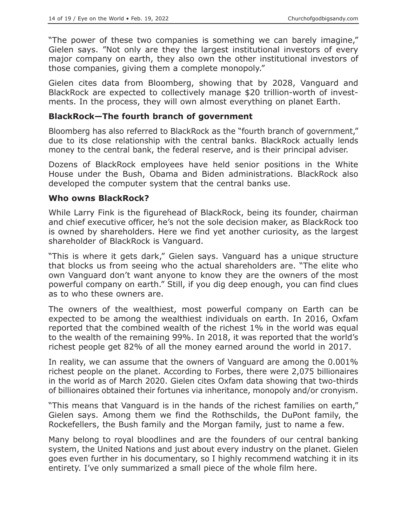"The power of these two companies is something we can barely imagine," Gielen says. "Not only are they the largest institutional investors of every major company on earth, they also own the other institutional investors of those companies, giving them a complete monopoly."

Gielen cites data from Bloomberg, showing that by 2028, Vanguard and BlackRock are expected to collectively manage \$20 trillion-worth of investments. In the process, they will own almost everything on planet Earth.

### **BlackRock—The fourth branch of government**

Bloomberg has also referred to BlackRock as the "fourth branch of government," due to its close relationship with the central banks. BlackRock actually lends money to the central bank, the federal reserve, and is their principal adviser.

Dozens of BlackRock employees have held senior positions in the White House under the Bush, Obama and Biden administrations. BlackRock also developed the computer system that the central banks use.

### **Who owns BlackRock?**

While Larry Fink is the figurehead of BlackRock, being its founder, chairman and chief executive officer, he's not the sole decision maker, as BlackRock too is owned by shareholders. Here we find yet another curiosity, as the largest shareholder of BlackRock is Vanguard.

"This is where it gets dark," Gielen says. Vanguard has a unique structure that blocks us from seeing who the actual shareholders are. "The elite who own Vanguard don't want anyone to know they are the owners of the most powerful company on earth." Still, if you dig deep enough, you can find clues as to who these owners are.

The owners of the wealthiest, most powerful company on Earth can be expected to be among the wealthiest individuals on earth. In 2016, Oxfam reported that the combined wealth of the richest 1% in the world was equal to the wealth of the remaining 99%. In 2018, it was reported that the world's richest people get 82% of all the money earned around the world in 2017.

In reality, we can assume that the owners of Vanguard are among the 0.001% richest people on the planet. According to Forbes, there were 2,075 billionaires in the world as of March 2020. Gielen cites Oxfam data showing that two-thirds of billionaires obtained their fortunes via inheritance, monopoly and/or cronyism.

"This means that Vanguard is in the hands of the richest families on earth," Gielen says. Among them we find the Rothschilds, the DuPont family, the Rockefellers, the Bush family and the Morgan family, just to name a few.

Many belong to royal bloodlines and are the founders of our central banking system, the United Nations and just about every industry on the planet. Gielen goes even further in his documentary, so I highly recommend watching it in its entirety. I've only summarized a small piece of the whole film here.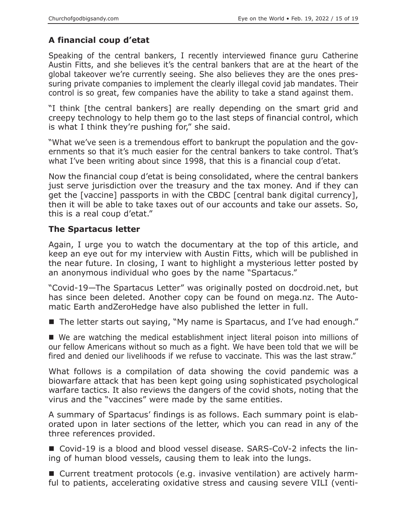# **A financial coup d'etat**

Speaking of the central bankers, I recently interviewed finance guru Catherine Austin Fitts, and she believes it's the central bankers that are at the heart of the global takeover we're currently seeing. She also believes they are the ones pressuring private companies to implement the clearly illegal covid jab mandates. Their control is so great, few companies have the ability to take a stand against them.

"I think [the central bankers] are really depending on the smart grid and creepy technology to help them go to the last steps of financial control, which is what I think they're pushing for," she said.

"What we've seen is a tremendous effort to bankrupt the population and the governments so that it's much easier for the central bankers to take control. That's what I've been writing about since 1998, that this is a financial coup d'etat.

Now the financial coup d'etat is being consolidated, where the central bankers just serve jurisdiction over the treasury and the tax money. And if they can get the [vaccine] passports in with the CBDC [central bank digital currency], then it will be able to take taxes out of our accounts and take our assets. So, this is a real coup d'etat."

## **The Spartacus letter**

Again, I urge you to watch the documentary at the top of this article, and keep an eye out for my interview with Austin Fitts, which will be published in the near future. In closing, I want to highlight a mysterious letter posted by an anonymous individual who goes by the name "Spartacus."

"Covid-19—The Spartacus Letter" was originally posted on docdroid.net, but has since been deleted. Another copy can be found on mega.nz. The Automatic Earth andZeroHedge have also published the letter in full.

■ The letter starts out saying, "My name is Spartacus, and I've had enough."

 We are watching the medical establishment inject literal poison into millions of our fellow Americans without so much as a fight. We have been told that we will be fired and denied our livelihoods if we refuse to vaccinate. This was the last straw."

What follows is a compilation of data showing the covid pandemic was a biowarfare attack that has been kept going using sophisticated psychological warfare tactics. It also reviews the dangers of the covid shots, noting that the virus and the "vaccines" were made by the same entities.

A summary of Spartacus' findings is as follows. Each summary point is elaborated upon in later sections of the letter, which you can read in any of the three references provided.

 Covid-19 is a blood and blood vessel disease. SARS-CoV-2 infects the lining of human blood vessels, causing them to leak into the lungs.

 Current treatment protocols (e.g. invasive ventilation) are actively harmful to patients, accelerating oxidative stress and causing severe VILI (venti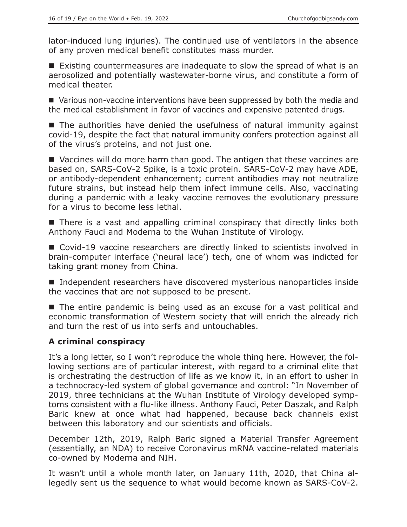lator-induced lung injuries). The continued use of ventilators in the absence of any proven medical benefit constitutes mass murder.

■ Existing countermeasures are inadequate to slow the spread of what is an aerosolized and potentially wastewater-borne virus, and constitute a form of medical theater.

 Various non-vaccine interventions have been suppressed by both the media and the medical establishment in favor of vaccines and expensive patented drugs.

■ The authorities have denied the usefulness of natural immunity against covid-19, despite the fact that natural immunity confers protection against all of the virus's proteins, and not just one.

 Vaccines will do more harm than good. The antigen that these vaccines are based on, SARS-CoV-2 Spike, is a toxic protein. SARS-CoV-2 may have ADE, or antibody-dependent enhancement; current antibodies may not neutralize future strains, but instead help them infect immune cells. Also, vaccinating during a pandemic with a leaky vaccine removes the evolutionary pressure for a virus to become less lethal.

 There is a vast and appalling criminal conspiracy that directly links both Anthony Fauci and Moderna to the Wuhan Institute of Virology.

■ Covid-19 vaccine researchers are directly linked to scientists involved in brain-computer interface ('neural lace') tech, one of whom was indicted for taking grant money from China.

■ Independent researchers have discovered mysterious nanoparticles inside the vaccines that are not supposed to be present.

■ The entire pandemic is being used as an excuse for a vast political and economic transformation of Western society that will enrich the already rich and turn the rest of us into serfs and untouchables.

## **A criminal conspiracy**

It's a long letter, so I won't reproduce the whole thing here. However, the following sections are of particular interest, with regard to a criminal elite that is orchestrating the destruction of life as we know it, in an effort to usher in a technocracy-led system of global governance and control: "In November of 2019, three technicians at the Wuhan Institute of Virology developed symptoms consistent with a flu-like illness. Anthony Fauci, Peter Daszak, and Ralph Baric knew at once what had happened, because back channels exist between this laboratory and our scientists and officials.

December 12th, 2019, Ralph Baric signed a Material Transfer Agreement (essentially, an NDA) to receive Coronavirus mRNA vaccine-related materials co-owned by Moderna and NIH.

It wasn't until a whole month later, on January 11th, 2020, that China allegedly sent us the sequence to what would become known as SARS-CoV-2.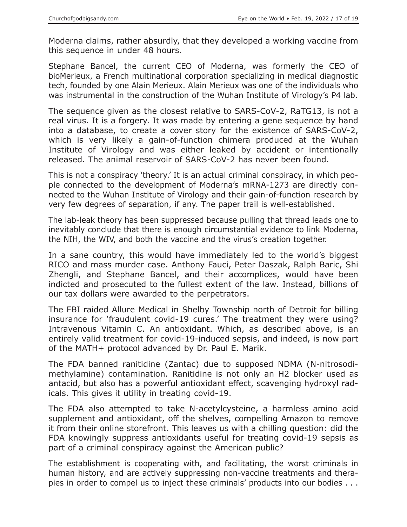Moderna claims, rather absurdly, that they developed a working vaccine from this sequence in under 48 hours.

Stephane Bancel, the current CEO of Moderna, was formerly the CEO of bioMerieux, a French multinational corporation specializing in medical diagnostic tech, founded by one Alain Merieux. Alain Merieux was one of the individuals who was instrumental in the construction of the Wuhan Institute of Virology's P4 lab.

The sequence given as the closest relative to SARS-CoV-2, RaTG13, is not a real virus. It is a forgery. It was made by entering a gene sequence by hand into a database, to create a cover story for the existence of SARS-CoV-2, which is very likely a gain-of-function chimera produced at the Wuhan Institute of Virology and was either leaked by accident or intentionally released. The animal reservoir of SARS-CoV-2 has never been found.

This is not a conspiracy 'theory.' It is an actual criminal conspiracy, in which people connected to the development of Moderna's mRNA-1273 are directly connected to the Wuhan Institute of Virology and their gain-of-function research by very few degrees of separation, if any. The paper trail is well-established.

The lab-leak theory has been suppressed because pulling that thread leads one to inevitably conclude that there is enough circumstantial evidence to link Moderna, the NIH, the WIV, and both the vaccine and the virus's creation together.

In a sane country, this would have immediately led to the world's biggest RICO and mass murder case. Anthony Fauci, Peter Daszak, Ralph Baric, Shi Zhengli, and Stephane Bancel, and their accomplices, would have been indicted and prosecuted to the fullest extent of the law. Instead, billions of our tax dollars were awarded to the perpetrators.

The FBI raided Allure Medical in Shelby Township north of Detroit for billing insurance for 'fraudulent covid-19 cures.' The treatment they were using? Intravenous Vitamin C. An antioxidant. Which, as described above, is an entirely valid treatment for covid-19-induced sepsis, and indeed, is now part of the MATH+ protocol advanced by Dr. Paul E. Marik.

The FDA banned ranitidine (Zantac) due to supposed NDMA (N-nitrosodimethylamine) contamination. Ranitidine is not only an H2 blocker used as antacid, but also has a powerful antioxidant effect, scavenging hydroxyl radicals. This gives it utility in treating covid-19.

The FDA also attempted to take N-acetylcysteine, a harmless amino acid supplement and antioxidant, off the shelves, compelling Amazon to remove it from their online storefront. This leaves us with a chilling question: did the FDA knowingly suppress antioxidants useful for treating covid-19 sepsis as part of a criminal conspiracy against the American public?

The establishment is cooperating with, and facilitating, the worst criminals in human history, and are actively suppressing non-vaccine treatments and therapies in order to compel us to inject these criminals' products into our bodies . . .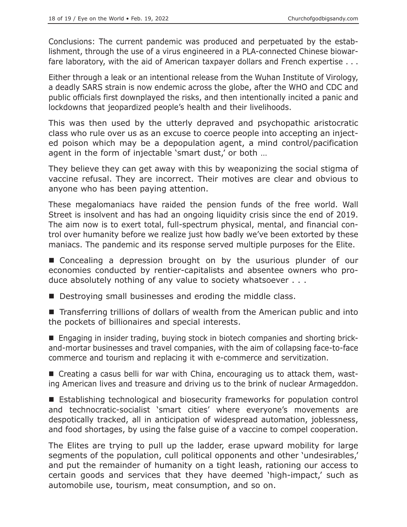Conclusions: The current pandemic was produced and perpetuated by the establishment, through the use of a virus engineered in a PLA-connected Chinese biowarfare laboratory, with the aid of American taxpayer dollars and French expertise . . .

Either through a leak or an intentional release from the Wuhan Institute of Virology, a deadly SARS strain is now endemic across the globe, after the WHO and CDC and public officials first downplayed the risks, and then intentionally incited a panic and lockdowns that jeopardized people's health and their livelihoods.

This was then used by the utterly depraved and psychopathic aristocratic class who rule over us as an excuse to coerce people into accepting an injected poison which may be a depopulation agent, a mind control/pacification agent in the form of injectable 'smart dust,' or both …

They believe they can get away with this by weaponizing the social stigma of vaccine refusal. They are incorrect. Their motives are clear and obvious to anyone who has been paying attention.

These megalomaniacs have raided the pension funds of the free world. Wall Street is insolvent and has had an ongoing liquidity crisis since the end of 2019. The aim now is to exert total, full-spectrum physical, mental, and financial control over humanity before we realize just how badly we've been extorted by these maniacs. The pandemic and its response served multiple purposes for the Elite.

■ Concealing a depression brought on by the usurious plunder of our economies conducted by rentier-capitalists and absentee owners who produce absolutely nothing of any value to society whatsoever . . .

Destroying small businesses and eroding the middle class.

■ Transferring trillions of dollars of wealth from the American public and into the pockets of billionaires and special interests.

■ Engaging in insider trading, buying stock in biotech companies and shorting brickand-mortar businesses and travel companies, with the aim of collapsing face-to-face commerce and tourism and replacing it with e-commerce and servitization.

 Creating a casus belli for war with China, encouraging us to attack them, wasting American lives and treasure and driving us to the brink of nuclear Armageddon.

■ Establishing technological and biosecurity frameworks for population control and technocratic-socialist 'smart cities' where everyone's movements are despotically tracked, all in anticipation of widespread automation, joblessness, and food shortages, by using the false guise of a vaccine to compel cooperation.

The Elites are trying to pull up the ladder, erase upward mobility for large segments of the population, cull political opponents and other 'undesirables,' and put the remainder of humanity on a tight leash, rationing our access to certain goods and services that they have deemed 'high-impact,' such as automobile use, tourism, meat consumption, and so on.